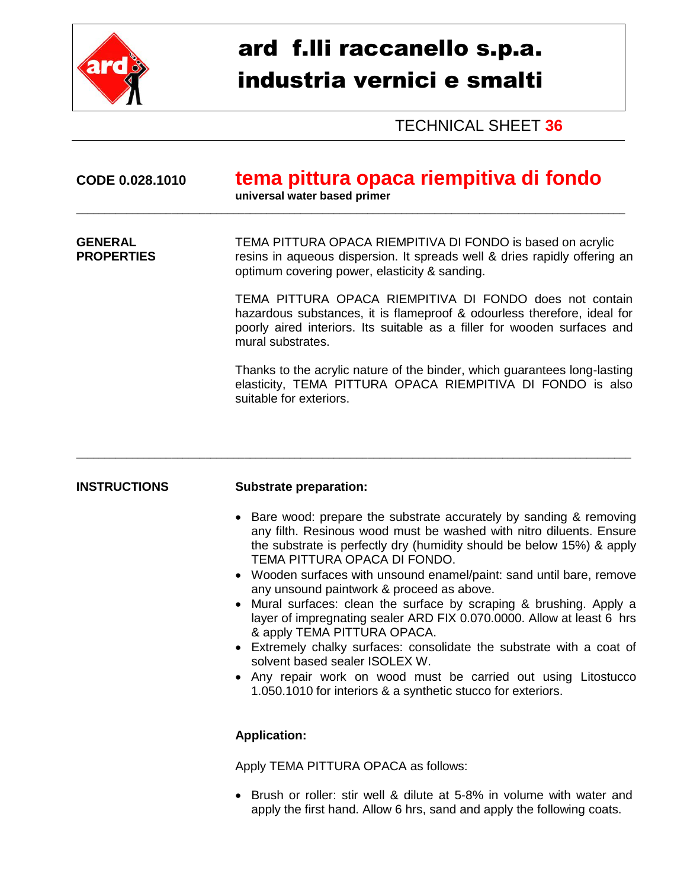

## ard f.lli raccanello s.p.a. industria vernici e smalti

TECHNICAL SHEET **36**

| CODE 0.028.1010                     | tema pittura opaca riempitiva di fondo<br>universal water based primer                                                                                                                                                                                                                                                                                                                                                                                                                                                                                                                                                                                                                                                                                                                                    |  |
|-------------------------------------|-----------------------------------------------------------------------------------------------------------------------------------------------------------------------------------------------------------------------------------------------------------------------------------------------------------------------------------------------------------------------------------------------------------------------------------------------------------------------------------------------------------------------------------------------------------------------------------------------------------------------------------------------------------------------------------------------------------------------------------------------------------------------------------------------------------|--|
| <b>GENERAL</b><br><b>PROPERTIES</b> | TEMA PITTURA OPACA RIEMPITIVA DI FONDO is based on acrylic<br>resins in aqueous dispersion. It spreads well & dries rapidly offering an<br>optimum covering power, elasticity & sanding.                                                                                                                                                                                                                                                                                                                                                                                                                                                                                                                                                                                                                  |  |
|                                     | TEMA PITTURA OPACA RIEMPITIVA DI FONDO does not contain<br>hazardous substances, it is flameproof & odourless therefore, ideal for<br>poorly aired interiors. Its suitable as a filler for wooden surfaces and<br>mural substrates.                                                                                                                                                                                                                                                                                                                                                                                                                                                                                                                                                                       |  |
|                                     | Thanks to the acrylic nature of the binder, which guarantees long-lasting<br>elasticity, TEMA PITTURA OPACA RIEMPITIVA DI FONDO is also<br>suitable for exteriors.                                                                                                                                                                                                                                                                                                                                                                                                                                                                                                                                                                                                                                        |  |
| <b>INSTRUCTIONS</b>                 | <b>Substrate preparation:</b>                                                                                                                                                                                                                                                                                                                                                                                                                                                                                                                                                                                                                                                                                                                                                                             |  |
|                                     | Bare wood: prepare the substrate accurately by sanding & removing<br>any filth. Resinous wood must be washed with nitro diluents. Ensure<br>the substrate is perfectly dry (humidity should be below 15%) & apply<br>TEMA PITTURA OPACA DI FONDO.<br>• Wooden surfaces with unsound enamel/paint: sand until bare, remove<br>any unsound paintwork & proceed as above.<br>Mural surfaces: clean the surface by scraping & brushing. Apply a<br>$\bullet$<br>layer of impregnating sealer ARD FIX 0.070.0000. Allow at least 6 hrs<br>& apply TEMA PITTURA OPACA.<br>Extremely chalky surfaces: consolidate the substrate with a coat of<br>solvent based sealer ISOLEX W.<br>Any repair work on wood must be carried out using Litostucco<br>1.050.1010 for interiors & a synthetic stucco for exteriors. |  |
|                                     | <b>Application:</b>                                                                                                                                                                                                                                                                                                                                                                                                                                                                                                                                                                                                                                                                                                                                                                                       |  |
|                                     | Apply TEMA PITTURA OPACA as follows:                                                                                                                                                                                                                                                                                                                                                                                                                                                                                                                                                                                                                                                                                                                                                                      |  |
|                                     | • Brush or roller: stir well & dilute at 5-8% in volume with water and                                                                                                                                                                                                                                                                                                                                                                                                                                                                                                                                                                                                                                                                                                                                    |  |

apply the first hand. Allow 6 hrs, sand and apply the following coats.